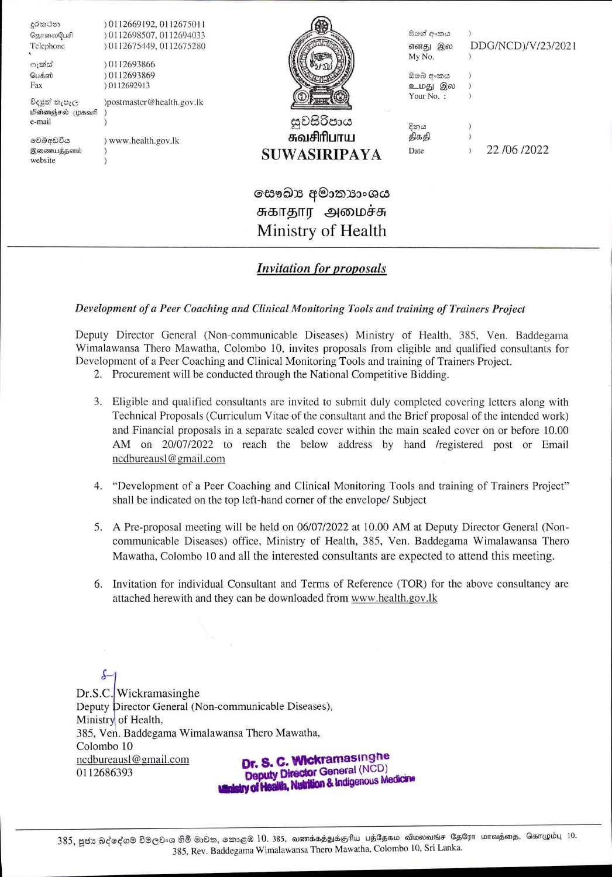| දුරකථන            | 0112669192, 0112675011    |                |           |                    |
|-------------------|---------------------------|----------------|-----------|--------------------|
| தொலைபேசி          | 0112698507, 0112694033    |                | මගේ අංකය  |                    |
| Telephone         | 0112675449, 0112675280    |                | எனது இல   | DDG/NCD)/V/23/2021 |
| ෆැක්ස්            | 0112693866                |                | My No.    |                    |
| பெக்ஸ்            | 0112693869                |                | ඔබේ අංකය  |                    |
| Fax               | 0112692913                |                | உமது இல   |                    |
| විදහුන් නැපැල     | )postmaster@health.gov.lk |                | Your No.: |                    |
| மின்னஞ்சல் முகவரி |                           |                |           |                    |
| e-mail            |                           | සුවසිරිපාය     | දිනය      |                    |
| වෙබ්අඩවිය         | www.health.gov.lk         | சுவசிரிபாய     | திகதி     |                    |
| இணையத்தளம்        |                           | SUWASIRIPAYA   | Date      | 22/06/2022         |
| website           |                           |                |           |                    |
|                   |                           |                |           |                    |
|                   |                           | සෞඛා අමාතාාංශය |           |                    |
|                   |                           |                |           |                    |

# சுகாதார அமைச்சு Ministry of Health

## **Invitation for proposals**

### Development of a Peer Coaching and Clinical Monitoring Tools and training of Trainers Project

Deputy Director General (Non-communicable Diseases) Ministry of Health, 385, Ven. Baddegama Wimalawansa Thero Mawatha, Colombo 10, invites proposals from eligible and qualified consultants for Development of a Peer Coaching and Clinical Monitoring Tools and training of Trainers Project.

- 2. Procurement will be conducted through the National Competitive Bidding.
- 3. Eligible and qualified consultants are invited to submit duly completed covering letters along with Technical Proposals (Curriculum Vitae of the consultant and the Brief proposal of the intended work) and Financial proposals in a separate sealed cover within the main sealed cover on or before 10.00 AM on 20/07/2022 to reach the below address by hand /registered post or Email ncdbureausl@gmail.com
- 4. "Development of a Peer Coaching and Clinical Monitoring Tools and training of Trainers Project" shall be indicated on the top left-hand corner of the envelope/ Subject
- 5. A Pre-proposal meeting will be held on 06/07/2022 at 10.00 AM at Deputy Director General (Noncommunicable Diseases) office, Ministry of Health, 385, Ven. Baddegama Wimalawansa Thero Mawatha, Colombo 10 and all the interested consultants are expected to attend this meeting.
- 6. Invitation for individual Consultant and Terms of Reference (TOR) for the above consultancy are attached herewith and they can be downloaded from www.health.gov.lk

£ Dr.S.C. Wickramasinghe Deputy Director General (Non-communicable Diseases), Ministry of Health, 385, Ven. Baddegama Wimalawansa Thero Mawatha, Colombo 10 Dr. S. C. Wickramasinghe ncdbureausl@gmail.com Deputy Director General (NCD) 0112686393 try of Health, Nutrition & Indigenous Medicine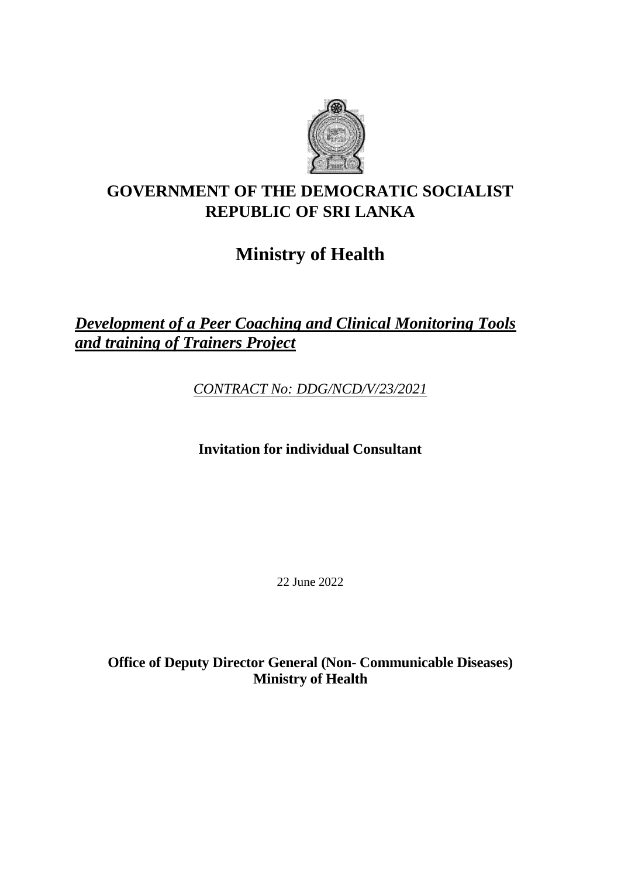

## **GOVERNMENT OF THE DEMOCRATIC SOCIALIST REPUBLIC OF SRI LANKA**

# **Ministry of Health**

*Development of a Peer Coaching and Clinical Monitoring Tools and training of Trainers Project*

*CONTRACT No: DDG/NCD/V/23/2021*

**Invitation for individual Consultant**

22 June 2022

**Office of Deputy Director General (Non- Communicable Diseases) Ministry of Health**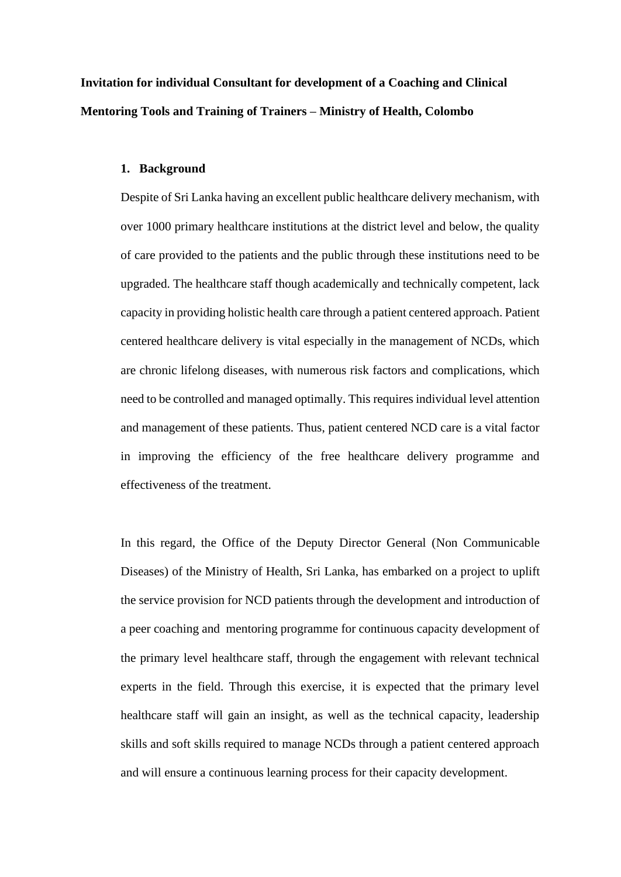**Invitation for individual Consultant for development of a Coaching and Clinical Mentoring Tools and Training of Trainers – Ministry of Health, Colombo** 

#### **1. Background**

Despite of Sri Lanka having an excellent public healthcare delivery mechanism, with over 1000 primary healthcare institutions at the district level and below, the quality of care provided to the patients and the public through these institutions need to be upgraded. The healthcare staff though academically and technically competent, lack capacity in providing holistic health care through a patient centered approach. Patient centered healthcare delivery is vital especially in the management of NCDs, which are chronic lifelong diseases, with numerous risk factors and complications, which need to be controlled and managed optimally. This requires individual level attention and management of these patients. Thus, patient centered NCD care is a vital factor in improving the efficiency of the free healthcare delivery programme and effectiveness of the treatment.

In this regard, the Office of the Deputy Director General (Non Communicable Diseases) of the Ministry of Health, Sri Lanka, has embarked on a project to uplift the service provision for NCD patients through the development and introduction of a peer coaching and mentoring programme for continuous capacity development of the primary level healthcare staff, through the engagement with relevant technical experts in the field. Through this exercise, it is expected that the primary level healthcare staff will gain an insight, as well as the technical capacity, leadership skills and soft skills required to manage NCDs through a patient centered approach and will ensure a continuous learning process for their capacity development.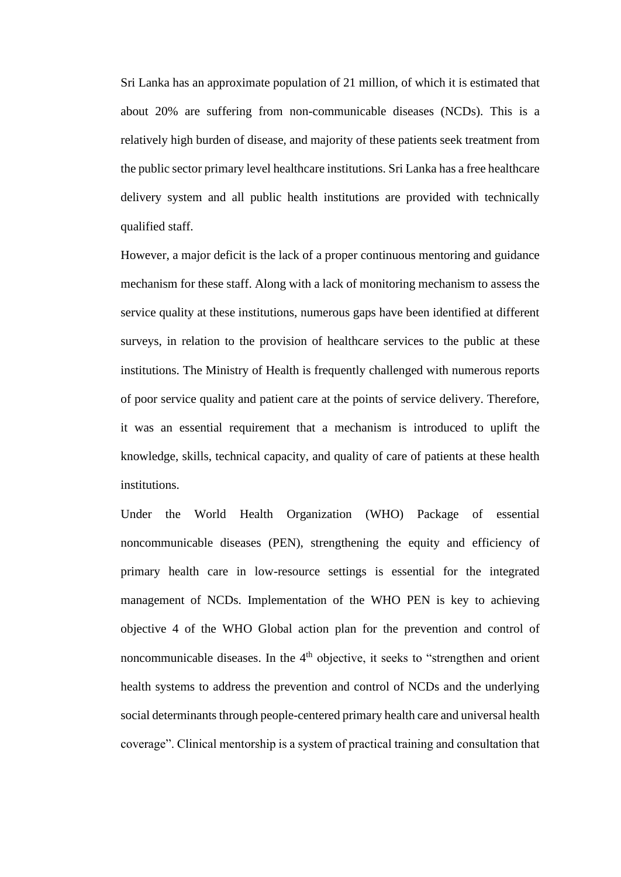Sri Lanka has an approximate population of 21 million, of which it is estimated that about 20% are suffering from non-communicable diseases (NCDs). This is a relatively high burden of disease, and majority of these patients seek treatment from the public sector primary level healthcare institutions. Sri Lanka has a free healthcare delivery system and all public health institutions are provided with technically qualified staff.

However, a major deficit is the lack of a proper continuous mentoring and guidance mechanism for these staff. Along with a lack of monitoring mechanism to assess the service quality at these institutions, numerous gaps have been identified at different surveys, in relation to the provision of healthcare services to the public at these institutions. The Ministry of Health is frequently challenged with numerous reports of poor service quality and patient care at the points of service delivery. Therefore, it was an essential requirement that a mechanism is introduced to uplift the knowledge, skills, technical capacity, and quality of care of patients at these health institutions.

Under the World Health Organization (WHO) Package of essential noncommunicable diseases (PEN), strengthening the equity and efficiency of primary health care in low-resource settings is essential for the integrated management of NCDs. Implementation of the WHO PEN is key to achieving objective 4 of the WHO Global action plan for the prevention and control of noncommunicable diseases. In the 4<sup>th</sup> objective, it seeks to "strengthen and orient health systems to address the prevention and control of NCDs and the underlying social determinants through people-centered primary health care and universal health coverage". Clinical mentorship is a system of practical training and consultation that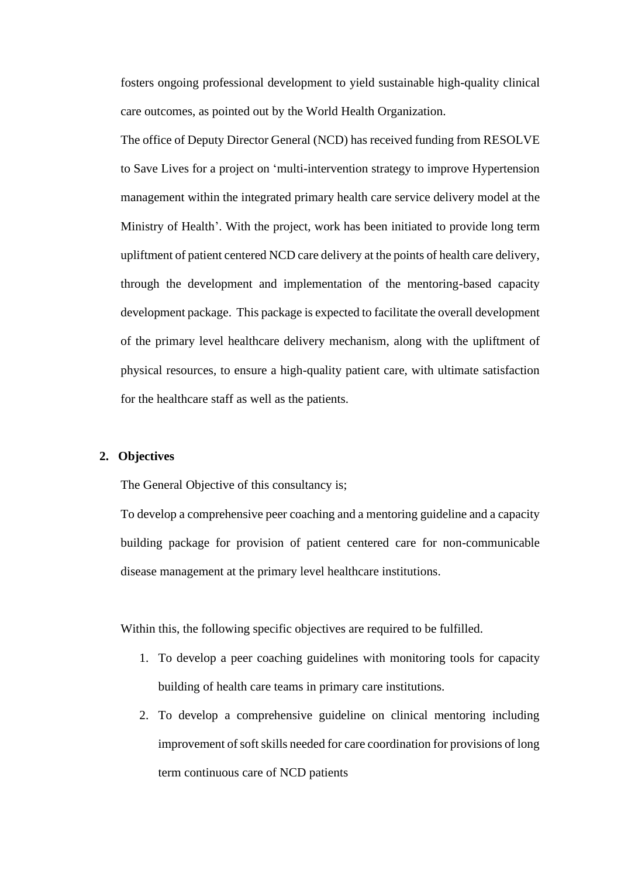fosters ongoing professional development to yield sustainable high-quality clinical care outcomes, as pointed out by the World Health Organization.

The office of Deputy Director General (NCD) has received funding from RESOLVE to Save Lives for a project on 'multi-intervention strategy to improve Hypertension management within the integrated primary health care service delivery model at the Ministry of Health'. With the project, work has been initiated to provide long term upliftment of patient centered NCD care delivery at the points of health care delivery, through the development and implementation of the mentoring-based capacity development package. This package is expected to facilitate the overall development of the primary level healthcare delivery mechanism, along with the upliftment of physical resources, to ensure a high-quality patient care, with ultimate satisfaction for the healthcare staff as well as the patients.

#### **2. Objectives**

The General Objective of this consultancy is;

To develop a comprehensive peer coaching and a mentoring guideline and a capacity building package for provision of patient centered care for non-communicable disease management at the primary level healthcare institutions.

Within this, the following specific objectives are required to be fulfilled.

- 1. To develop a peer coaching guidelines with monitoring tools for capacity building of health care teams in primary care institutions.
- 2. To develop a comprehensive guideline on clinical mentoring including improvement of soft skills needed for care coordination for provisions of long term continuous care of NCD patients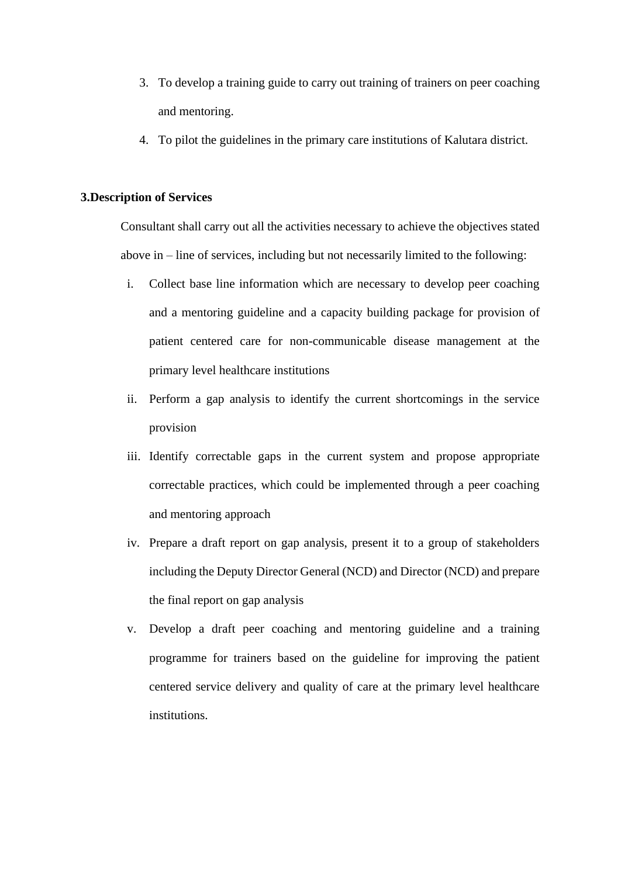- 3. To develop a training guide to carry out training of trainers on peer coaching and mentoring.
- 4. To pilot the guidelines in the primary care institutions of Kalutara district.

#### **3.Description of Services**

Consultant shall carry out all the activities necessary to achieve the objectives stated above in – line of services, including but not necessarily limited to the following:

- i. Collect base line information which are necessary to develop peer coaching and a mentoring guideline and a capacity building package for provision of patient centered care for non-communicable disease management at the primary level healthcare institutions
- ii. Perform a gap analysis to identify the current shortcomings in the service provision
- iii. Identify correctable gaps in the current system and propose appropriate correctable practices, which could be implemented through a peer coaching and mentoring approach
- iv. Prepare a draft report on gap analysis, present it to a group of stakeholders including the Deputy Director General (NCD) and Director (NCD) and prepare the final report on gap analysis
- v. Develop a draft peer coaching and mentoring guideline and a training programme for trainers based on the guideline for improving the patient centered service delivery and quality of care at the primary level healthcare institutions.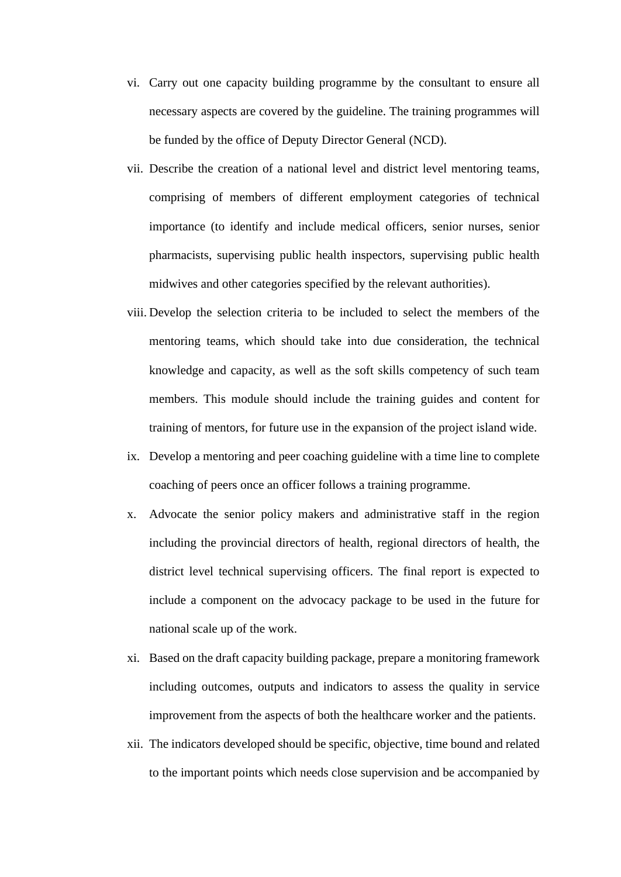- vi. Carry out one capacity building programme by the consultant to ensure all necessary aspects are covered by the guideline. The training programmes will be funded by the office of Deputy Director General (NCD).
- vii. Describe the creation of a national level and district level mentoring teams, comprising of members of different employment categories of technical importance (to identify and include medical officers, senior nurses, senior pharmacists, supervising public health inspectors, supervising public health midwives and other categories specified by the relevant authorities).
- viii. Develop the selection criteria to be included to select the members of the mentoring teams, which should take into due consideration, the technical knowledge and capacity, as well as the soft skills competency of such team members. This module should include the training guides and content for training of mentors, for future use in the expansion of the project island wide.
- ix. Develop a mentoring and peer coaching guideline with a time line to complete coaching of peers once an officer follows a training programme.
- x. Advocate the senior policy makers and administrative staff in the region including the provincial directors of health, regional directors of health, the district level technical supervising officers. The final report is expected to include a component on the advocacy package to be used in the future for national scale up of the work.
- xi. Based on the draft capacity building package, prepare a monitoring framework including outcomes, outputs and indicators to assess the quality in service improvement from the aspects of both the healthcare worker and the patients.
- xii. The indicators developed should be specific, objective, time bound and related to the important points which needs close supervision and be accompanied by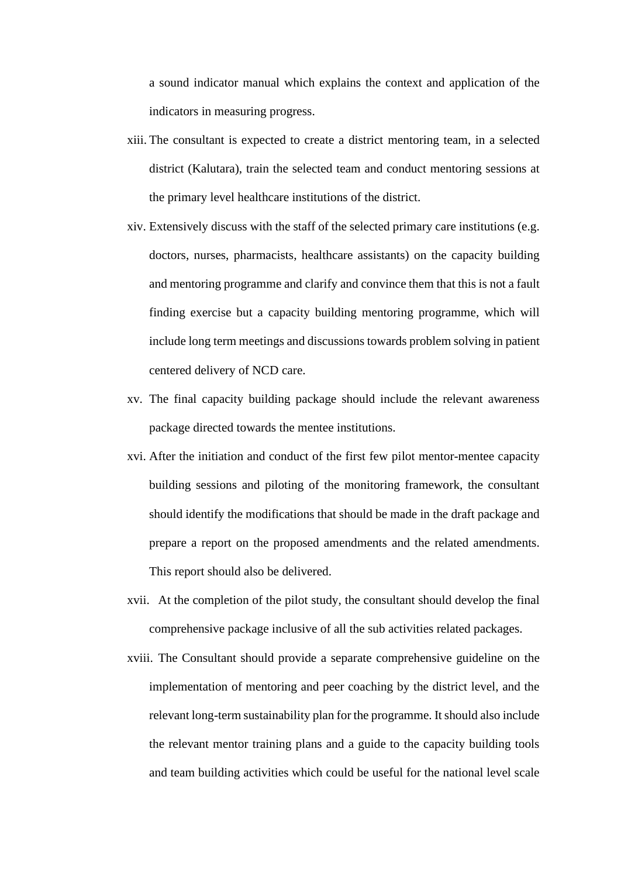a sound indicator manual which explains the context and application of the indicators in measuring progress.

- xiii. The consultant is expected to create a district mentoring team, in a selected district (Kalutara), train the selected team and conduct mentoring sessions at the primary level healthcare institutions of the district.
- xiv. Extensively discuss with the staff of the selected primary care institutions (e.g. doctors, nurses, pharmacists, healthcare assistants) on the capacity building and mentoring programme and clarify and convince them that this is not a fault finding exercise but a capacity building mentoring programme, which will include long term meetings and discussions towards problem solving in patient centered delivery of NCD care.
- xv. The final capacity building package should include the relevant awareness package directed towards the mentee institutions.
- xvi. After the initiation and conduct of the first few pilot mentor-mentee capacity building sessions and piloting of the monitoring framework, the consultant should identify the modifications that should be made in the draft package and prepare a report on the proposed amendments and the related amendments. This report should also be delivered.
- xvii. At the completion of the pilot study, the consultant should develop the final comprehensive package inclusive of all the sub activities related packages.
- xviii. The Consultant should provide a separate comprehensive guideline on the implementation of mentoring and peer coaching by the district level, and the relevant long-term sustainability plan for the programme. It should also include the relevant mentor training plans and a guide to the capacity building tools and team building activities which could be useful for the national level scale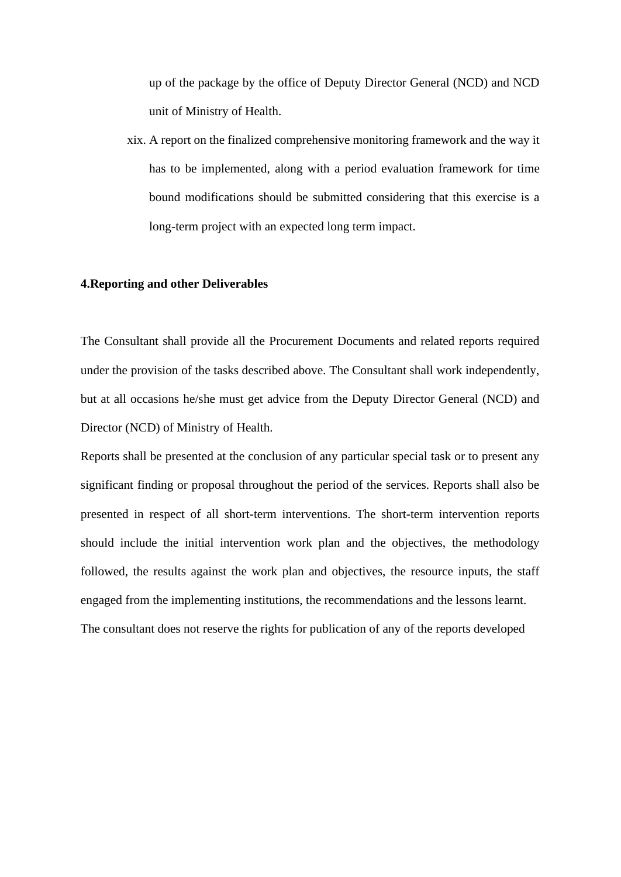up of the package by the office of Deputy Director General (NCD) and NCD unit of Ministry of Health.

xix. A report on the finalized comprehensive monitoring framework and the way it has to be implemented, along with a period evaluation framework for time bound modifications should be submitted considering that this exercise is a long-term project with an expected long term impact.

#### **4.Reporting and other Deliverables**

The Consultant shall provide all the Procurement Documents and related reports required under the provision of the tasks described above. The Consultant shall work independently, but at all occasions he/she must get advice from the Deputy Director General (NCD) and Director (NCD) of Ministry of Health.

Reports shall be presented at the conclusion of any particular special task or to present any significant finding or proposal throughout the period of the services. Reports shall also be presented in respect of all short-term interventions. The short-term intervention reports should include the initial intervention work plan and the objectives, the methodology followed, the results against the work plan and objectives, the resource inputs, the staff engaged from the implementing institutions, the recommendations and the lessons learnt. The consultant does not reserve the rights for publication of any of the reports developed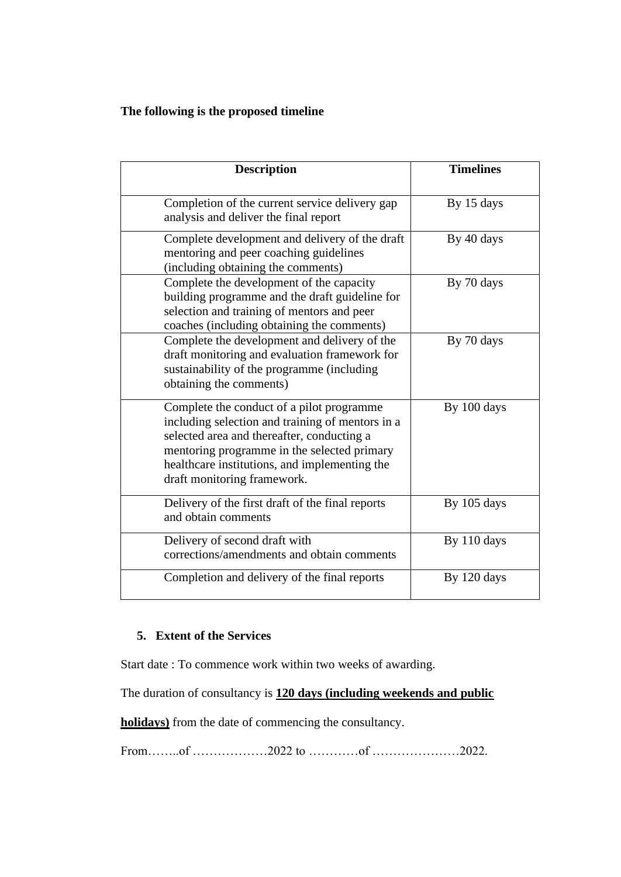## **The following is the proposed timeline**

| <b>Description</b>                                                                                                                                                                                                                                                         | <b>Timelines</b> |
|----------------------------------------------------------------------------------------------------------------------------------------------------------------------------------------------------------------------------------------------------------------------------|------------------|
| Completion of the current service delivery gap<br>analysis and deliver the final report                                                                                                                                                                                    | By 15 days       |
| Complete development and delivery of the draft<br>mentoring and peer coaching guidelines<br>(including obtaining the comments)                                                                                                                                             | By 40 days       |
| Complete the development of the capacity<br>building programme and the draft guideline for<br>selection and training of mentors and peer<br>coaches (including obtaining the comments)                                                                                     | By 70 days       |
| Complete the development and delivery of the<br>draft monitoring and evaluation framework for<br>sustainability of the programme (including<br>obtaining the comments)                                                                                                     | By 70 days       |
| Complete the conduct of a pilot programme<br>including selection and training of mentors in a<br>selected area and thereafter, conducting a<br>mentoring programme in the selected primary<br>healthcare institutions, and implementing the<br>draft monitoring framework. | By 100 days      |
| Delivery of the first draft of the final reports<br>and obtain comments                                                                                                                                                                                                    | By 105 days      |
| Delivery of second draft with<br>corrections/amendments and obtain comments                                                                                                                                                                                                | By 110 days      |
| Completion and delivery of the final reports                                                                                                                                                                                                                               | By 120 days      |

## **5. Extent of the Services**

Start date : To commence work within two weeks of awarding.

The duration of consultancy is **120 days (including weekends and public** 

**holidays)** from the date of commencing the consultancy.

From……..of ………………2022 to …………of …………………2022.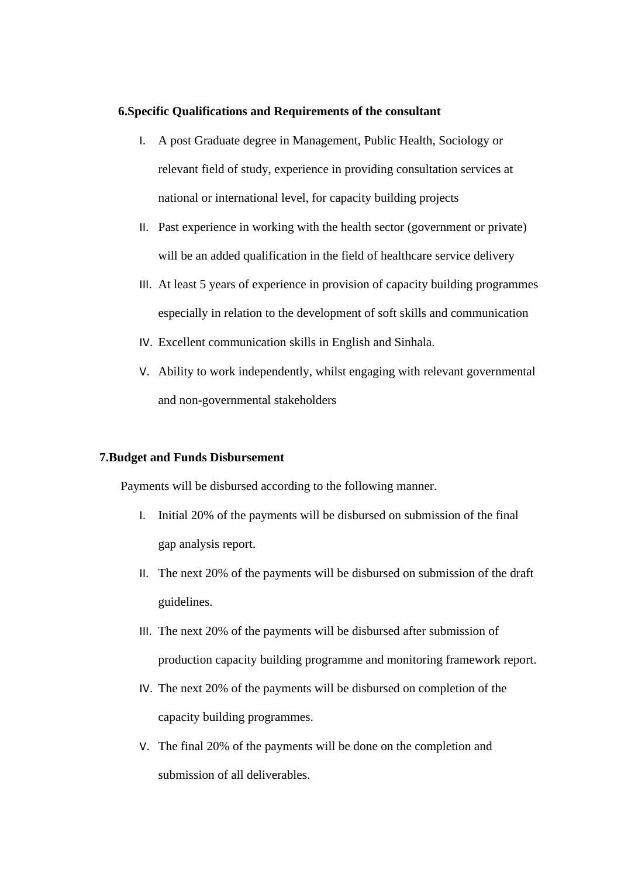#### **6.Specific Qualifications and Requirements of the consultant**

- I. A post Graduate degree in Management, Public Health, Sociology or relevant field of study, experience in providing consultation services at national or international level, for capacity building projects
- II. Past experience in working with the health sector (government or private) will be an added qualification in the field of healthcare service delivery
- III. At least 5 years of experience in provision of capacity building programmes especially in relation to the development of soft skills and communication
- IV. Excellent communication skills in English and Sinhala.
- V. Ability to work independently, whilst engaging with relevant governmental and non-governmental stakeholders

#### **7.Budget and Funds Disbursement**

Payments will be disbursed according to the following manner.

- I. Initial 20% of the payments will be disbursed on submission of the final gap analysis report.
- II. The next 20% of the payments will be disbursed on submission of the draft guidelines.
- III. The next 20% of the payments will be disbursed after submission of production capacity building programme and monitoring framework report.
- IV. The next 20% of the payments will be disbursed on completion of the capacity building programmes.
- V. The final 20% of the payments will be done on the completion and submission of all deliverables.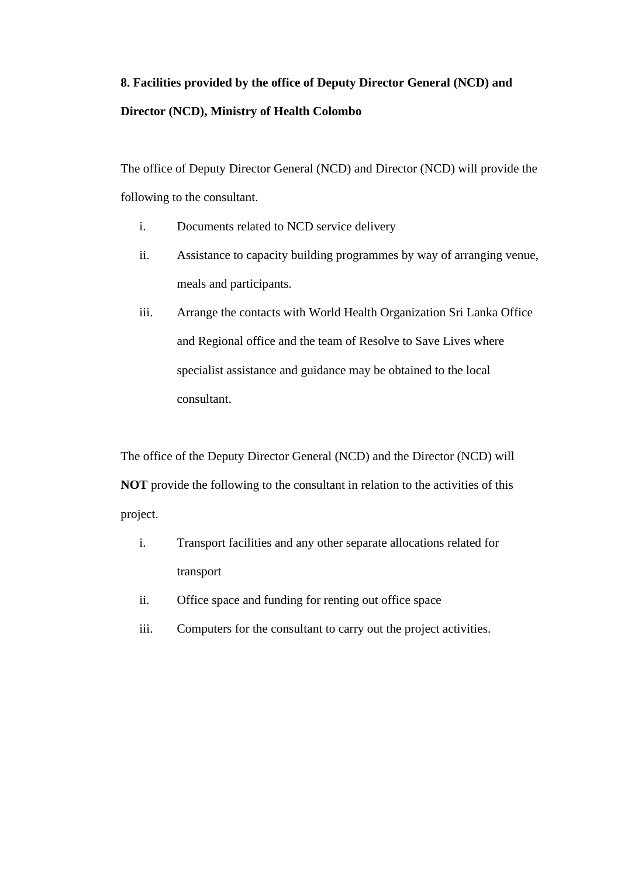## **8. Facilities provided by the office of Deputy Director General (NCD) and Director (NCD), Ministry of Health Colombo**

The office of Deputy Director General (NCD) and Director (NCD) will provide the following to the consultant.

- i. Documents related to NCD service delivery
- ii. Assistance to capacity building programmes by way of arranging venue, meals and participants.
- iii. Arrange the contacts with World Health Organization Sri Lanka Office and Regional office and the team of Resolve to Save Lives where specialist assistance and guidance may be obtained to the local consultant.

The office of the Deputy Director General (NCD) and the Director (NCD) will **NOT** provide the following to the consultant in relation to the activities of this project.

- i. Transport facilities and any other separate allocations related for transport
- ii. Office space and funding for renting out office space
- iii. Computers for the consultant to carry out the project activities.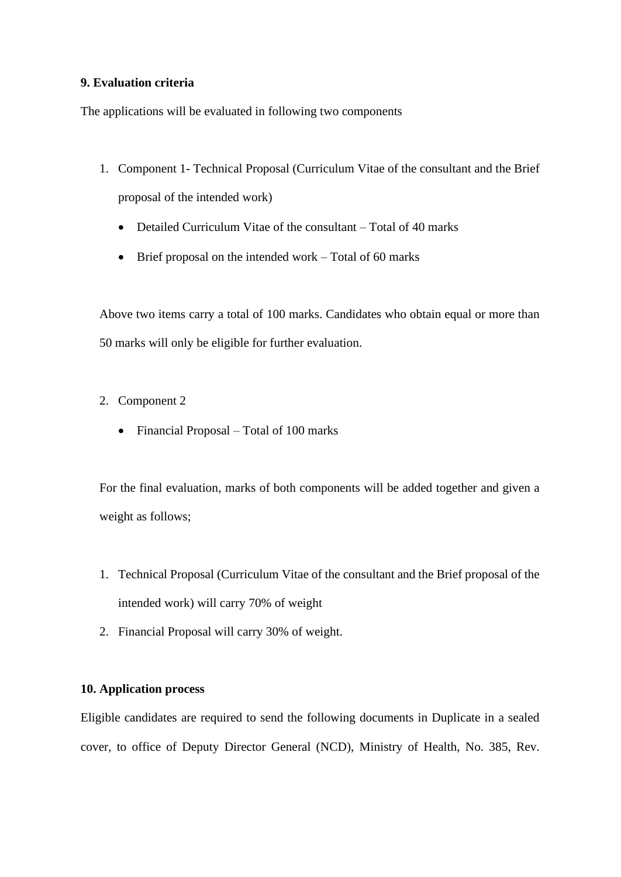### **9. Evaluation criteria**

The applications will be evaluated in following two components

- 1. Component 1- Technical Proposal (Curriculum Vitae of the consultant and the Brief proposal of the intended work)
	- Detailed Curriculum Vitae of the consultant Total of 40 marks
	- Brief proposal on the intended work Total of 60 marks

Above two items carry a total of 100 marks. Candidates who obtain equal or more than 50 marks will only be eligible for further evaluation.

- 2. Component 2
	- Financial Proposal Total of 100 marks

For the final evaluation, marks of both components will be added together and given a weight as follows;

- 1. Technical Proposal (Curriculum Vitae of the consultant and the Brief proposal of the intended work) will carry 70% of weight
- 2. Financial Proposal will carry 30% of weight.

## **10. Application process**

Eligible candidates are required to send the following documents in Duplicate in a sealed cover, to office of Deputy Director General (NCD), Ministry of Health, No. 385, Rev.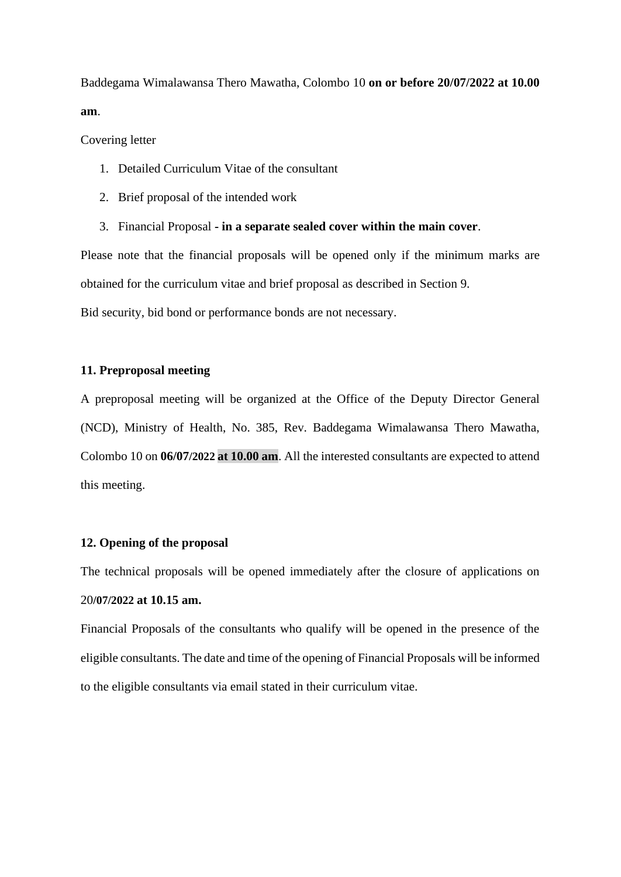Baddegama Wimalawansa Thero Mawatha, Colombo 10 **on or before 20/07/2022 at 10.00 am**.

Covering letter

- 1. Detailed Curriculum Vitae of the consultant
- 2. Brief proposal of the intended work
- 3. Financial Proposal **- in a separate sealed cover within the main cover**.

Please note that the financial proposals will be opened only if the minimum marks are obtained for the curriculum vitae and brief proposal as described in Section 9.

Bid security, bid bond or performance bonds are not necessary.

## **11. Preproposal meeting**

A preproposal meeting will be organized at the Office of the Deputy Director General (NCD), Ministry of Health, No. 385, Rev. Baddegama Wimalawansa Thero Mawatha, Colombo 10 on **06/07/2022 at 10.00 am**. All the interested consultants are expected to attend this meeting.

## **12. Opening of the proposal**

The technical proposals will be opened immediately after the closure of applications on 20**/07/2022 at 10.15 am.**

Financial Proposals of the consultants who qualify will be opened in the presence of the eligible consultants. The date and time of the opening of Financial Proposals will be informed to the eligible consultants via email stated in their curriculum vitae.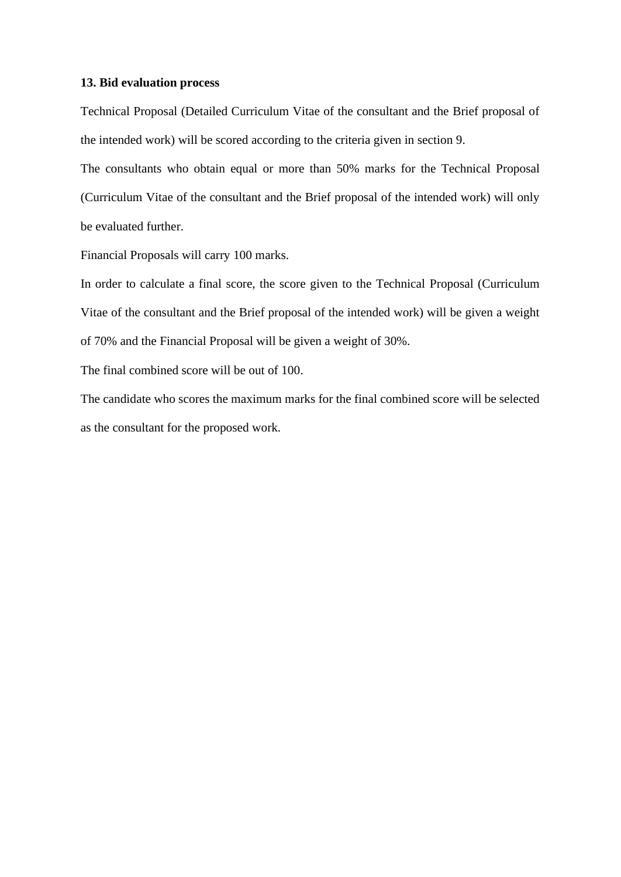#### **13. Bid evaluation process**

Technical Proposal (Detailed Curriculum Vitae of the consultant and the Brief proposal of the intended work) will be scored according to the criteria given in section 9.

The consultants who obtain equal or more than 50% marks for the Technical Proposal (Curriculum Vitae of the consultant and the Brief proposal of the intended work) will only be evaluated further.

Financial Proposals will carry 100 marks.

In order to calculate a final score, the score given to the Technical Proposal (Curriculum Vitae of the consultant and the Brief proposal of the intended work) will be given a weight of 70% and the Financial Proposal will be given a weight of 30%.

The final combined score will be out of 100.

The candidate who scores the maximum marks for the final combined score will be selected as the consultant for the proposed work.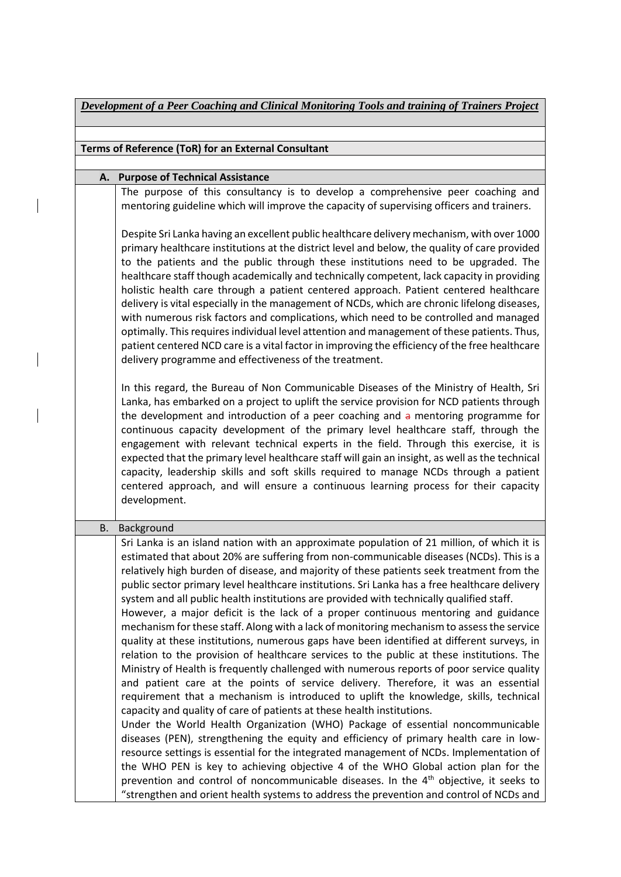|    | Development of a Peer Coaching and Clinical Monitoring Tools and training of Trainers Project                                                                                                                                                                                                                                                                                                                                                                                                                                                                                                                                                                                                                                                                                                                                                                                                                                                                                                                                                                                                                                                                                                                                                                                                                                                                                                                                                                                                                                                                                                                                                                               |
|----|-----------------------------------------------------------------------------------------------------------------------------------------------------------------------------------------------------------------------------------------------------------------------------------------------------------------------------------------------------------------------------------------------------------------------------------------------------------------------------------------------------------------------------------------------------------------------------------------------------------------------------------------------------------------------------------------------------------------------------------------------------------------------------------------------------------------------------------------------------------------------------------------------------------------------------------------------------------------------------------------------------------------------------------------------------------------------------------------------------------------------------------------------------------------------------------------------------------------------------------------------------------------------------------------------------------------------------------------------------------------------------------------------------------------------------------------------------------------------------------------------------------------------------------------------------------------------------------------------------------------------------------------------------------------------------|
|    |                                                                                                                                                                                                                                                                                                                                                                                                                                                                                                                                                                                                                                                                                                                                                                                                                                                                                                                                                                                                                                                                                                                                                                                                                                                                                                                                                                                                                                                                                                                                                                                                                                                                             |
|    | Terms of Reference (ToR) for an External Consultant                                                                                                                                                                                                                                                                                                                                                                                                                                                                                                                                                                                                                                                                                                                                                                                                                                                                                                                                                                                                                                                                                                                                                                                                                                                                                                                                                                                                                                                                                                                                                                                                                         |
| А. | <b>Purpose of Technical Assistance</b>                                                                                                                                                                                                                                                                                                                                                                                                                                                                                                                                                                                                                                                                                                                                                                                                                                                                                                                                                                                                                                                                                                                                                                                                                                                                                                                                                                                                                                                                                                                                                                                                                                      |
|    | The purpose of this consultancy is to develop a comprehensive peer coaching and<br>mentoring guideline which will improve the capacity of supervising officers and trainers.                                                                                                                                                                                                                                                                                                                                                                                                                                                                                                                                                                                                                                                                                                                                                                                                                                                                                                                                                                                                                                                                                                                                                                                                                                                                                                                                                                                                                                                                                                |
|    | Despite Sri Lanka having an excellent public healthcare delivery mechanism, with over 1000<br>primary healthcare institutions at the district level and below, the quality of care provided<br>to the patients and the public through these institutions need to be upgraded. The<br>healthcare staff though academically and technically competent, lack capacity in providing<br>holistic health care through a patient centered approach. Patient centered healthcare<br>delivery is vital especially in the management of NCDs, which are chronic lifelong diseases,<br>with numerous risk factors and complications, which need to be controlled and managed<br>optimally. This requires individual level attention and management of these patients. Thus,<br>patient centered NCD care is a vital factor in improving the efficiency of the free healthcare<br>delivery programme and effectiveness of the treatment.                                                                                                                                                                                                                                                                                                                                                                                                                                                                                                                                                                                                                                                                                                                                                |
|    | In this regard, the Bureau of Non Communicable Diseases of the Ministry of Health, Sri<br>Lanka, has embarked on a project to uplift the service provision for NCD patients through<br>the development and introduction of a peer coaching and a mentoring programme for<br>continuous capacity development of the primary level healthcare staff, through the<br>engagement with relevant technical experts in the field. Through this exercise, it is<br>expected that the primary level healthcare staff will gain an insight, as well as the technical<br>capacity, leadership skills and soft skills required to manage NCDs through a patient<br>centered approach, and will ensure a continuous learning process for their capacity<br>development.                                                                                                                                                                                                                                                                                                                                                                                                                                                                                                                                                                                                                                                                                                                                                                                                                                                                                                                  |
| В. | Background                                                                                                                                                                                                                                                                                                                                                                                                                                                                                                                                                                                                                                                                                                                                                                                                                                                                                                                                                                                                                                                                                                                                                                                                                                                                                                                                                                                                                                                                                                                                                                                                                                                                  |
|    | Sri Lanka is an island nation with an approximate population of 21 million, of which it is<br>estimated that about 20% are suffering from non-communicable diseases (NCDs). This is a<br>relatively high burden of disease, and majority of these patients seek treatment from the<br>public sector primary level healthcare institutions. Sri Lanka has a free healthcare delivery<br>system and all public health institutions are provided with technically qualified staff.<br>However, a major deficit is the lack of a proper continuous mentoring and guidance<br>mechanism for these staff. Along with a lack of monitoring mechanism to assess the service<br>quality at these institutions, numerous gaps have been identified at different surveys, in<br>relation to the provision of healthcare services to the public at these institutions. The<br>Ministry of Health is frequently challenged with numerous reports of poor service quality<br>and patient care at the points of service delivery. Therefore, it was an essential<br>requirement that a mechanism is introduced to uplift the knowledge, skills, technical<br>capacity and quality of care of patients at these health institutions.<br>Under the World Health Organization (WHO) Package of essential noncommunicable<br>diseases (PEN), strengthening the equity and efficiency of primary health care in low-<br>resource settings is essential for the integrated management of NCDs. Implementation of<br>the WHO PEN is key to achieving objective 4 of the WHO Global action plan for the<br>prevention and control of noncommunicable diseases. In the $4th$ objective, it seeks to |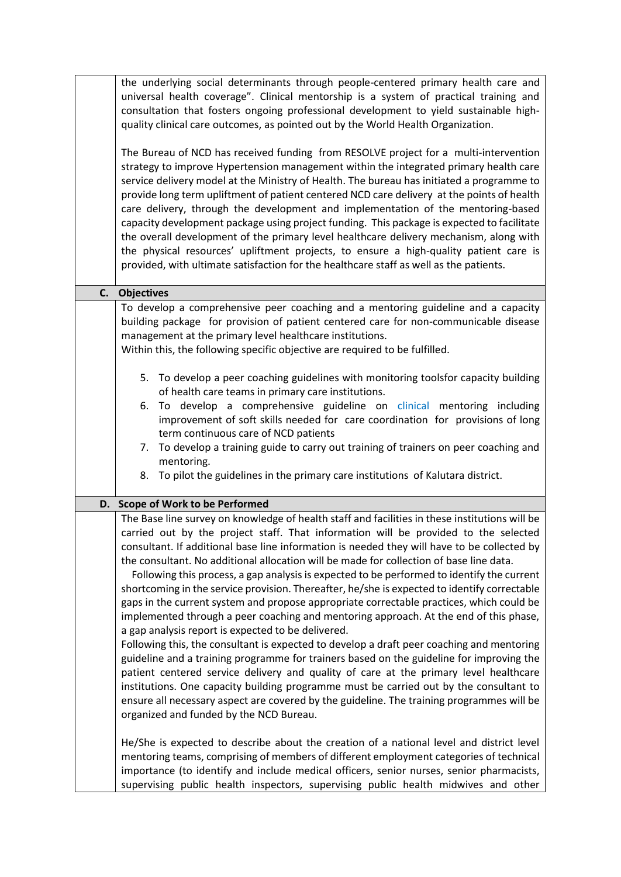| the underlying social determinants through people-centered primary health care and<br>universal health coverage". Clinical mentorship is a system of practical training and<br>consultation that fosters ongoing professional development to yield sustainable high-<br>quality clinical care outcomes, as pointed out by the World Health Organization.                                                                                                                                                                                                                                                                                                                                                                                                                                                                                                                                                                                                                                                                                                                                                                                                                                                                                                                                                                                     |
|----------------------------------------------------------------------------------------------------------------------------------------------------------------------------------------------------------------------------------------------------------------------------------------------------------------------------------------------------------------------------------------------------------------------------------------------------------------------------------------------------------------------------------------------------------------------------------------------------------------------------------------------------------------------------------------------------------------------------------------------------------------------------------------------------------------------------------------------------------------------------------------------------------------------------------------------------------------------------------------------------------------------------------------------------------------------------------------------------------------------------------------------------------------------------------------------------------------------------------------------------------------------------------------------------------------------------------------------|
| The Bureau of NCD has received funding from RESOLVE project for a multi-intervention<br>strategy to improve Hypertension management within the integrated primary health care<br>service delivery model at the Ministry of Health. The bureau has initiated a programme to<br>provide long term upliftment of patient centered NCD care delivery at the points of health<br>care delivery, through the development and implementation of the mentoring-based<br>capacity development package using project funding. This package is expected to facilitate<br>the overall development of the primary level healthcare delivery mechanism, along with<br>the physical resources' upliftment projects, to ensure a high-quality patient care is<br>provided, with ultimate satisfaction for the healthcare staff as well as the patients.                                                                                                                                                                                                                                                                                                                                                                                                                                                                                                      |
| C. Objectives                                                                                                                                                                                                                                                                                                                                                                                                                                                                                                                                                                                                                                                                                                                                                                                                                                                                                                                                                                                                                                                                                                                                                                                                                                                                                                                                |
| To develop a comprehensive peer coaching and a mentoring guideline and a capacity<br>building package for provision of patient centered care for non-communicable disease<br>management at the primary level healthcare institutions.<br>Within this, the following specific objective are required to be fulfilled.                                                                                                                                                                                                                                                                                                                                                                                                                                                                                                                                                                                                                                                                                                                                                                                                                                                                                                                                                                                                                         |
| 5. To develop a peer coaching guidelines with monitoring toolsfor capacity building<br>of health care teams in primary care institutions.<br>6. To develop a comprehensive guideline on clinical mentoring including<br>improvement of soft skills needed for care coordination for provisions of long<br>term continuous care of NCD patients<br>7. To develop a training guide to carry out training of trainers on peer coaching and                                                                                                                                                                                                                                                                                                                                                                                                                                                                                                                                                                                                                                                                                                                                                                                                                                                                                                      |
| mentoring.<br>8. To pilot the guidelines in the primary care institutions of Kalutara district.                                                                                                                                                                                                                                                                                                                                                                                                                                                                                                                                                                                                                                                                                                                                                                                                                                                                                                                                                                                                                                                                                                                                                                                                                                              |
| D. Scope of Work to be Performed                                                                                                                                                                                                                                                                                                                                                                                                                                                                                                                                                                                                                                                                                                                                                                                                                                                                                                                                                                                                                                                                                                                                                                                                                                                                                                             |
| The Base line survey on knowledge of health staff and facilities in these institutions will be<br>carried out by the project staff. That information will be provided to the selected<br>consultant. If additional base line information is needed they will have to be collected by<br>the consultant. No additional allocation will be made for collection of base line data.<br>Following this process, a gap analysis is expected to be performed to identify the current<br>shortcoming in the service provision. Thereafter, he/she is expected to identify correctable<br>gaps in the current system and propose appropriate correctable practices, which could be<br>implemented through a peer coaching and mentoring approach. At the end of this phase,<br>a gap analysis report is expected to be delivered.<br>Following this, the consultant is expected to develop a draft peer coaching and mentoring<br>guideline and a training programme for trainers based on the guideline for improving the<br>patient centered service delivery and quality of care at the primary level healthcare<br>institutions. One capacity building programme must be carried out by the consultant to<br>ensure all necessary aspect are covered by the guideline. The training programmes will be<br>organized and funded by the NCD Bureau. |
| He/She is expected to describe about the creation of a national level and district level<br>mentoring teams, comprising of members of different employment categories of technical<br>importance (to identify and include medical officers, senior nurses, senior pharmacists,<br>supervising public health inspectors, supervising public health midwives and other                                                                                                                                                                                                                                                                                                                                                                                                                                                                                                                                                                                                                                                                                                                                                                                                                                                                                                                                                                         |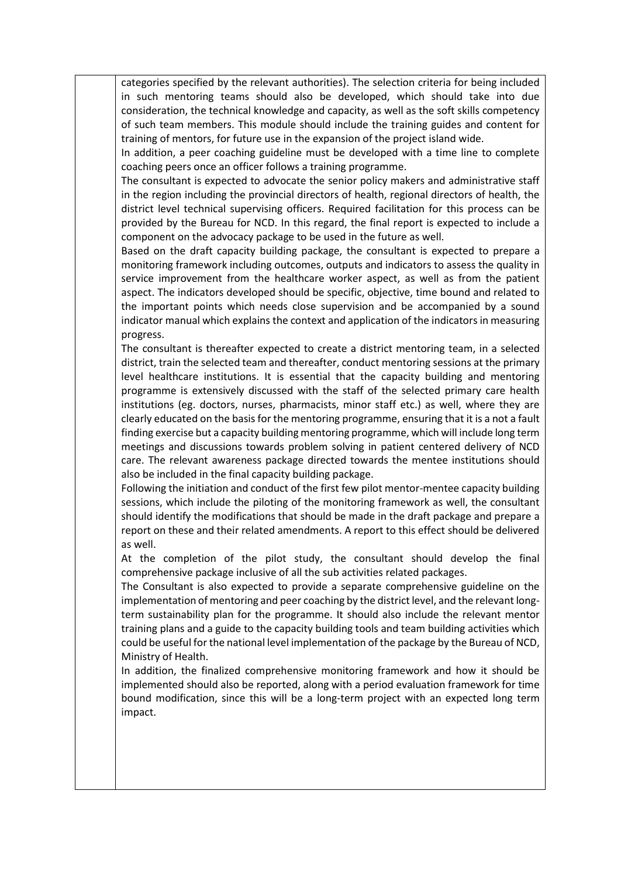categories specified by the relevant authorities). The selection criteria for being included in such mentoring teams should also be developed, which should take into due consideration, the technical knowledge and capacity, as well as the soft skills competency of such team members. This module should include the training guides and content for training of mentors, for future use in the expansion of the project island wide.

In addition, a peer coaching guideline must be developed with a time line to complete coaching peers once an officer follows a training programme.

The consultant is expected to advocate the senior policy makers and administrative staff in the region including the provincial directors of health, regional directors of health, the district level technical supervising officers. Required facilitation for this process can be provided by the Bureau for NCD. In this regard, the final report is expected to include a component on the advocacy package to be used in the future as well.

Based on the draft capacity building package, the consultant is expected to prepare a monitoring framework including outcomes, outputs and indicators to assess the quality in service improvement from the healthcare worker aspect, as well as from the patient aspect. The indicators developed should be specific, objective, time bound and related to the important points which needs close supervision and be accompanied by a sound indicator manual which explains the context and application of the indicators in measuring progress.

The consultant is thereafter expected to create a district mentoring team, in a selected district, train the selected team and thereafter, conduct mentoring sessions at the primary level healthcare institutions. It is essential that the capacity building and mentoring programme is extensively discussed with the staff of the selected primary care health institutions (eg. doctors, nurses, pharmacists, minor staff etc.) as well, where they are clearly educated on the basis for the mentoring programme, ensuring that it is a not a fault finding exercise but a capacity building mentoring programme, which will include long term meetings and discussions towards problem solving in patient centered delivery of NCD care. The relevant awareness package directed towards the mentee institutions should also be included in the final capacity building package.

Following the initiation and conduct of the first few pilot mentor-mentee capacity building sessions, which include the piloting of the monitoring framework as well, the consultant should identify the modifications that should be made in the draft package and prepare a report on these and their related amendments. A report to this effect should be delivered as well.

At the completion of the pilot study, the consultant should develop the final comprehensive package inclusive of all the sub activities related packages.

The Consultant is also expected to provide a separate comprehensive guideline on the implementation of mentoring and peer coaching by the district level, and the relevant longterm sustainability plan for the programme. It should also include the relevant mentor training plans and a guide to the capacity building tools and team building activities which could be useful for the national level implementation of the package by the Bureau of NCD, Ministry of Health.

In addition, the finalized comprehensive monitoring framework and how it should be implemented should also be reported, along with a period evaluation framework for time bound modification, since this will be a long-term project with an expected long term impact.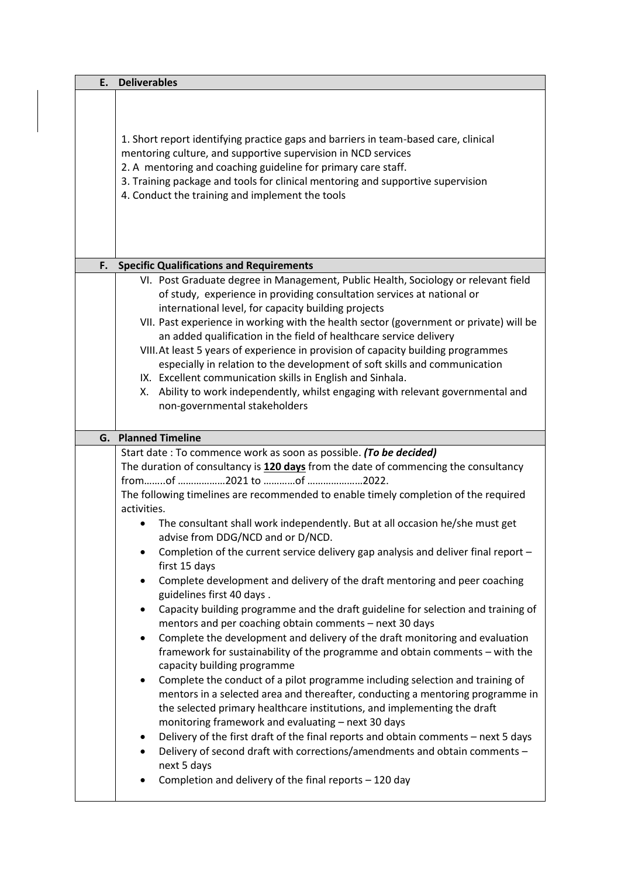| E. | <b>Deliverables</b>                                                                                                                                                                                                                                                                                                                                                                                                                                                                                                                                                                                                                                                                                                                                                                                                                                                                                                                                                                                                                                                                                                                                                                                                                                                                                                                                                                                                                                                                                                  |
|----|----------------------------------------------------------------------------------------------------------------------------------------------------------------------------------------------------------------------------------------------------------------------------------------------------------------------------------------------------------------------------------------------------------------------------------------------------------------------------------------------------------------------------------------------------------------------------------------------------------------------------------------------------------------------------------------------------------------------------------------------------------------------------------------------------------------------------------------------------------------------------------------------------------------------------------------------------------------------------------------------------------------------------------------------------------------------------------------------------------------------------------------------------------------------------------------------------------------------------------------------------------------------------------------------------------------------------------------------------------------------------------------------------------------------------------------------------------------------------------------------------------------------|
|    | 1. Short report identifying practice gaps and barriers in team-based care, clinical<br>mentoring culture, and supportive supervision in NCD services<br>2. A mentoring and coaching guideline for primary care staff.<br>3. Training package and tools for clinical mentoring and supportive supervision<br>4. Conduct the training and implement the tools                                                                                                                                                                                                                                                                                                                                                                                                                                                                                                                                                                                                                                                                                                                                                                                                                                                                                                                                                                                                                                                                                                                                                          |
|    |                                                                                                                                                                                                                                                                                                                                                                                                                                                                                                                                                                                                                                                                                                                                                                                                                                                                                                                                                                                                                                                                                                                                                                                                                                                                                                                                                                                                                                                                                                                      |
| F. | <b>Specific Qualifications and Requirements</b>                                                                                                                                                                                                                                                                                                                                                                                                                                                                                                                                                                                                                                                                                                                                                                                                                                                                                                                                                                                                                                                                                                                                                                                                                                                                                                                                                                                                                                                                      |
|    | VI. Post Graduate degree in Management, Public Health, Sociology or relevant field<br>of study, experience in providing consultation services at national or<br>international level, for capacity building projects<br>VII. Past experience in working with the health sector (government or private) will be<br>an added qualification in the field of healthcare service delivery<br>VIII. At least 5 years of experience in provision of capacity building programmes<br>especially in relation to the development of soft skills and communication<br>IX. Excellent communication skills in English and Sinhala.<br>X. Ability to work independently, whilst engaging with relevant governmental and<br>non-governmental stakeholders                                                                                                                                                                                                                                                                                                                                                                                                                                                                                                                                                                                                                                                                                                                                                                            |
|    | <b>G.</b> Planned Timeline                                                                                                                                                                                                                                                                                                                                                                                                                                                                                                                                                                                                                                                                                                                                                                                                                                                                                                                                                                                                                                                                                                                                                                                                                                                                                                                                                                                                                                                                                           |
|    | Start date: To commence work as soon as possible. (To be decided)                                                                                                                                                                                                                                                                                                                                                                                                                                                                                                                                                                                                                                                                                                                                                                                                                                                                                                                                                                                                                                                                                                                                                                                                                                                                                                                                                                                                                                                    |
|    | The duration of consultancy is 120 days from the date of commencing the consultancy<br>The following timelines are recommended to enable timely completion of the required<br>activities.<br>The consultant shall work independently. But at all occasion he/she must get<br>advise from DDG/NCD and or D/NCD.<br>Completion of the current service delivery gap analysis and deliver final report -<br>first 15 days<br>Complete development and delivery of the draft mentoring and peer coaching<br>$\bullet$<br>guidelines first 40 days.<br>Capacity building programme and the draft guideline for selection and training of<br>$\bullet$<br>mentors and per coaching obtain comments - next 30 days<br>Complete the development and delivery of the draft monitoring and evaluation<br>$\bullet$<br>framework for sustainability of the programme and obtain comments - with the<br>capacity building programme<br>Complete the conduct of a pilot programme including selection and training of<br>$\bullet$<br>mentors in a selected area and thereafter, conducting a mentoring programme in<br>the selected primary healthcare institutions, and implementing the draft<br>monitoring framework and evaluating - next 30 days<br>Delivery of the first draft of the final reports and obtain comments - next 5 days<br>٠<br>Delivery of second draft with corrections/amendments and obtain comments -<br>$\bullet$<br>next 5 days<br>Completion and delivery of the final reports - 120 day<br>$\bullet$ |